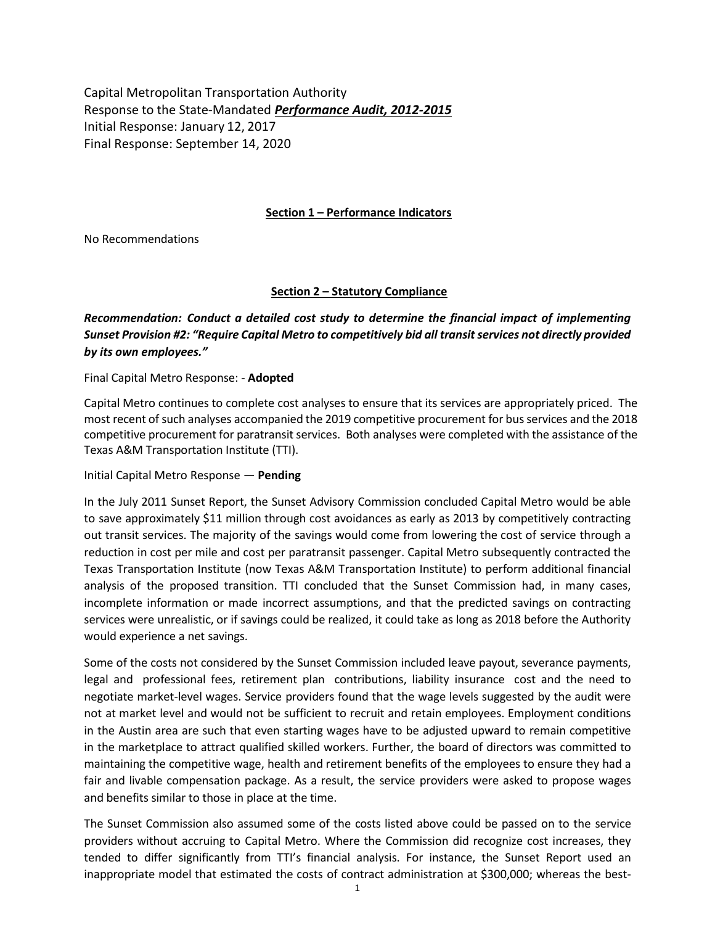Capital Metropolitan Transportation Authority Response to the State-Mandated *Performance Audit, 2012-2015* Initial Response: January 12, 2017 Final Response: September 14, 2020

### **Section 1 – Performance Indicators**

No Recommendations

## **Section 2 – Statutory Compliance**

*Recommendation: Conduct a detailed cost study to determine the financial impact of implementing Sunset Provision #2: "Require Capital Metro to competitively bid all transitservices not directly provided by its own employees."*

### Final Capital Metro Response: - **Adopted**

Capital Metro continues to complete cost analyses to ensure that its services are appropriately priced. The most recent of such analyses accompanied the 2019 competitive procurement for bus services and the 2018 competitive procurement for paratransit services. Both analyses were completed with the assistance of the Texas A&M Transportation Institute (TTI).

Initial Capital Metro Response — **Pending**

In the July 2011 Sunset Report, the Sunset Advisory Commission concluded Capital Metro would be able to save approximately \$11 million through cost avoidances as early as 2013 by competitively contracting out transit services. The majority of the savings would come from lowering the cost of service through a reduction in cost per mile and cost per paratransit passenger. Capital Metro subsequently contracted the Texas Transportation Institute (now Texas A&M Transportation Institute) to perform additional financial analysis of the proposed transition. TTI concluded that the Sunset Commission had, in many cases, incomplete information or made incorrect assumptions, and that the predicted savings on contracting services were unrealistic, or if savings could be realized, it could take as long as 2018 before the Authority would experience a net savings.

Some of the costs not considered by the Sunset Commission included leave payout, severance payments, legal and professional fees, retirement plan contributions, liability insurance cost and the need to negotiate market-level wages. Service providers found that the wage levels suggested by the audit were not at market level and would not be sufficient to recruit and retain employees. Employment conditions in the Austin area are such that even starting wages have to be adjusted upward to remain competitive in the marketplace to attract qualified skilled workers. Further, the board of directors was committed to maintaining the competitive wage, health and retirement benefits of the employees to ensure they had a fair and livable compensation package. As a result, the service providers were asked to propose wages and benefits similar to those in place at the time.

The Sunset Commission also assumed some of the costs listed above could be passed on to the service providers without accruing to Capital Metro. Where the Commission did recognize cost increases, they tended to differ significantly from TTI's financial analysis. For instance, the Sunset Report used an inappropriate model that estimated the costs of contract administration at \$300,000; whereas the best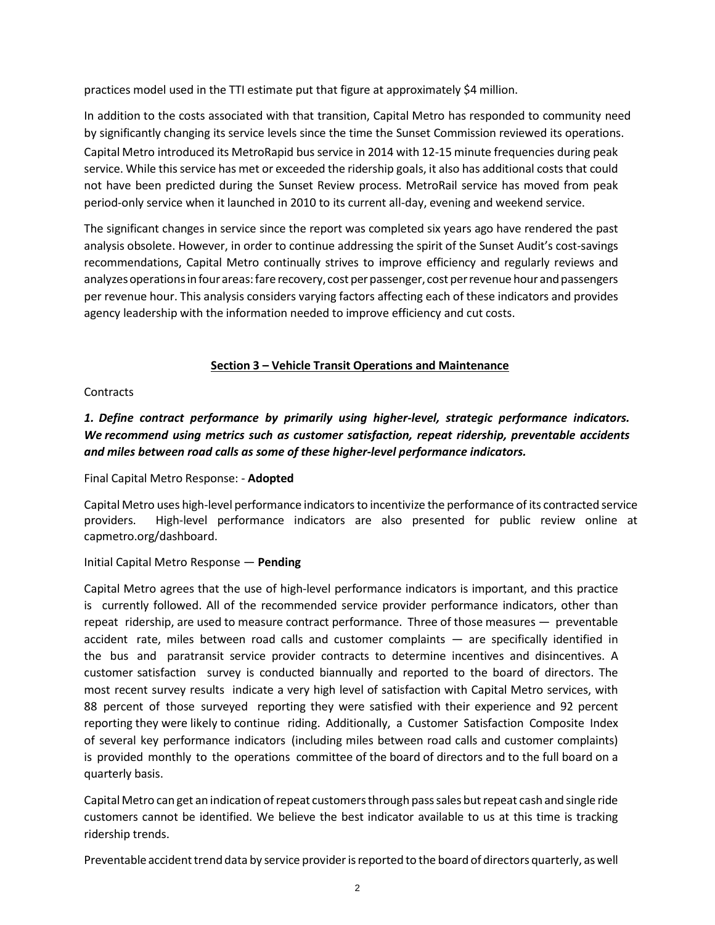practices model used in the TTI estimate put that figure at approximately \$4 million.

In addition to the costs associated with that transition, Capital Metro has responded to community need by significantly changing its service levels since the time the Sunset Commission reviewed its operations. Capital Metro introduced its MetroRapid bus service in 2014 with 12-15 minute frequencies during peak service. While thisservice has met or exceeded the ridership goals, it also has additional costs that could not have been predicted during the Sunset Review process. MetroRail service has moved from peak period-only service when it launched in 2010 to its current all-day, evening and weekend service.

The significant changes in service since the report was completed six years ago have rendered the past analysis obsolete. However, in order to continue addressing the spirit of the Sunset Audit's cost-savings recommendations, Capital Metro continually strives to improve efficiency and regularly reviews and analyzes operations in four areas: fare recovery, cost per passenger, cost per revenue hour and passengers per revenue hour. This analysis considers varying factors affecting each of these indicators and provides agency leadership with the information needed to improve efficiency and cut costs.

## **Section 3 – Vehicle Transit Operations and Maintenance**

## **Contracts**

# *1. Define contract performance by primarily using higher-level, strategic performance indicators. We recommend using metrics such as customer satisfaction, repeat ridership, preventable accidents and miles between road calls as some of these higher-level performance indicators.*

## Final Capital Metro Response: - **Adopted**

Capital Metro uses high-level performance indicators to incentivize the performance of its contracted service providers. High-level performance indicators are also presented for public review online at capmetro.org/dashboard.

## Initial Capital Metro Response — **Pending**

Capital Metro agrees that the use of high-level performance indicators is important, and this practice is currently followed. All of the recommended service provider performance indicators, other than repeat ridership, are used to measure contract performance. Three of those measures — preventable accident rate, miles between road calls and customer complaints — are specifically identified in the bus and paratransit service provider contracts to determine incentives and disincentives. A customer satisfaction survey is conducted biannually and reported to the board of directors. The most recent survey results indicate a very high level of satisfaction with Capital Metro services, with 88 percent of those surveyed reporting they were satisfied with their experience and 92 percent reporting they were likely to continue riding. Additionally, a Customer Satisfaction Composite Index of several key performance indicators (including miles between road calls and customer complaints) is provided monthly to the operations committee of the board of directors and to the full board on a quarterly basis.

CapitalMetro can get an indication ofrepeat customersthrough passsales butrepeat cash and single ride customers cannot be identified. We believe the best indicator available to us at this time is tracking ridership trends.

Preventable accident trend data by service provider is reported to the board of directors quarterly, as well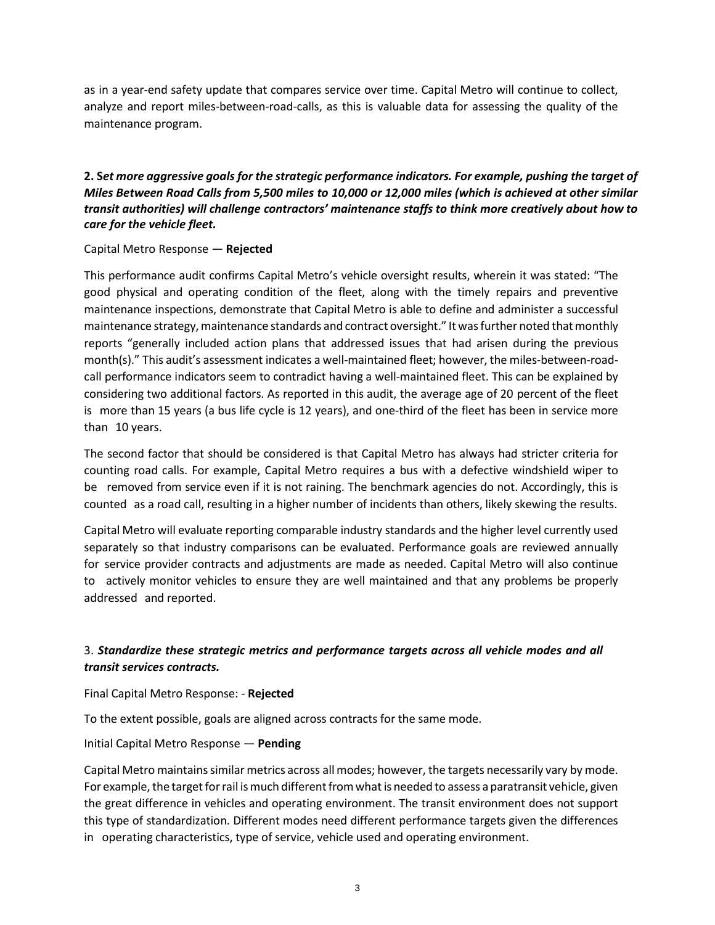as in a year-end safety update that compares service over time. Capital Metro will continue to collect, analyze and report miles-between-road-calls, as this is valuable data for assessing the quality of the maintenance program.

**2. S***et more aggressive goals for the strategic performance indicators. For example, pushing the target of* Miles Between Road Calls from 5,500 miles to 10,000 or 12,000 miles (which is achieved at other similar *transit authorities) will challenge contractors' maintenance staffs to think more creatively about how to care for the vehicle fleet.*

## Capital Metro Response — **Rejected**

This performance audit confirms Capital Metro's vehicle oversight results, wherein it was stated: "The good physical and operating condition of the fleet, along with the timely repairs and preventive maintenance inspections, demonstrate that Capital Metro is able to define and administer a successful maintenance strategy, maintenance standards and contract oversight." It was further noted that monthly reports "generally included action plans that addressed issues that had arisen during the previous month(s)." This audit's assessment indicates a well-maintained fleet; however, the miles-between-roadcall performance indicators seem to contradict having a well-maintained fleet. This can be explained by considering two additional factors. As reported in this audit, the average age of 20 percent of the fleet is more than 15 years (a bus life cycle is 12 years), and one-third of the fleet has been in service more than 10 years.

The second factor that should be considered is that Capital Metro has always had stricter criteria for counting road calls. For example, Capital Metro requires a bus with a defective windshield wiper to be removed from service even if it is not raining. The benchmark agencies do not. Accordingly, this is counted as a road call, resulting in a higher number of incidents than others, likely skewing the results.

Capital Metro will evaluate reporting comparable industry standards and the higher level currently used separately so that industry comparisons can be evaluated. Performance goals are reviewed annually for service provider contracts and adjustments are made as needed. Capital Metro will also continue to actively monitor vehicles to ensure they are well maintained and that any problems be properly addressed and reported.

# 3. *Standardize these strategic metrics and performance targets across all vehicle modes and all transit services contracts.*

## Final Capital Metro Response: - **Rejected**

To the extent possible, goals are aligned across contracts for the same mode.

## Initial Capital Metro Response — **Pending**

Capital Metro maintains similar metrics across all modes; however, the targets necessarily vary by mode. For example, the target for rail is much different from what is needed to assess a paratransit vehicle, given the great difference in vehicles and operating environment. The transit environment does not support this type of standardization. Different modes need different performance targets given the differences in operating characteristics, type of service, vehicle used and operating environment.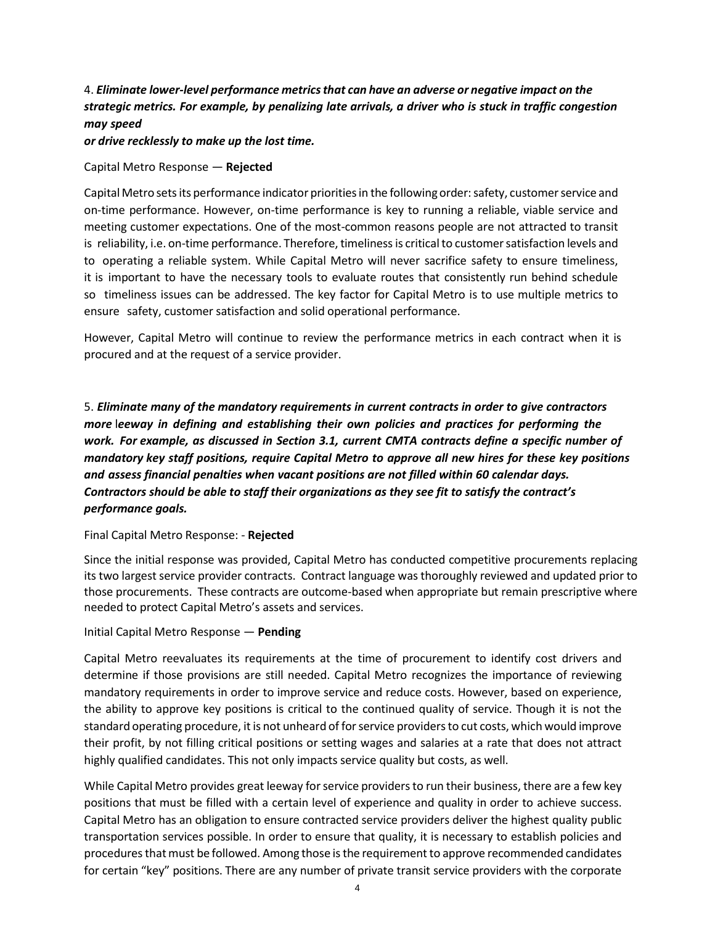# 4. *Eliminate lower-level performance metricsthat can have an adverse or negative impact on the strategic metrics. For example, by penalizing late arrivals, a driver who is stuck in traffic congestion may speed*

*or drive recklessly to make up the lost time.*

Capital Metro Response — **Rejected**

Capital Metro sets its performance indicator priorities in the following order: safety, customer service and on-time performance. However, on-time performance is key to running a reliable, viable service and meeting customer expectations. One of the most-common reasons people are not attracted to transit is reliability, i.e. on-time performance. Therefore, timeliness is critical to customer satisfaction levels and to operating a reliable system. While Capital Metro will never sacrifice safety to ensure timeliness, it is important to have the necessary tools to evaluate routes that consistently run behind schedule so timeliness issues can be addressed. The key factor for Capital Metro is to use multiple metrics to ensure safety, customer satisfaction and solid operational performance.

However, Capital Metro will continue to review the performance metrics in each contract when it is procured and at the request of a service provider.

5. *Eliminate many of the mandatory requirements in current contracts in order to give contractors more* l*eeway in defining and establishing their own policies and practices for performing the work. For example, as discussed in Section 3.1, current CMTA contracts define a specific number of mandatory key staff positions, require Capital Metro to approve all new hires for these key positions and assess financial penalties when vacant positions are not filled within 60 calendar days. Contractors should be able to staff their organizations as they see fit to satisfy the contract's performance goals.*

## Final Capital Metro Response: - **Rejected**

Since the initial response was provided, Capital Metro has conducted competitive procurements replacing its two largest service provider contracts. Contract language was thoroughly reviewed and updated prior to those procurements. These contracts are outcome-based when appropriate but remain prescriptive where needed to protect Capital Metro's assets and services.

## Initial Capital Metro Response — **Pending**

Capital Metro reevaluates its requirements at the time of procurement to identify cost drivers and determine if those provisions are still needed. Capital Metro recognizes the importance of reviewing mandatory requirements in order to improve service and reduce costs. However, based on experience, the ability to approve key positions is critical to the continued quality of service. Though it is not the standard operating procedure, it is not unheard of for service providers to cut costs, which would improve their profit, by not filling critical positions or setting wages and salaries at a rate that does not attract highly qualified candidates. This not only impacts service quality but costs, as well.

While Capital Metro provides great leeway for service providers to run their business, there are a few key positions that must be filled with a certain level of experience and quality in order to achieve success. Capital Metro has an obligation to ensure contracted service providers deliver the highest quality public transportation services possible. In order to ensure that quality, it is necessary to establish policies and procedures that must be followed. Among those is the requirement to approve recommended candidates for certain "key" positions. There are any number of private transit service providers with the corporate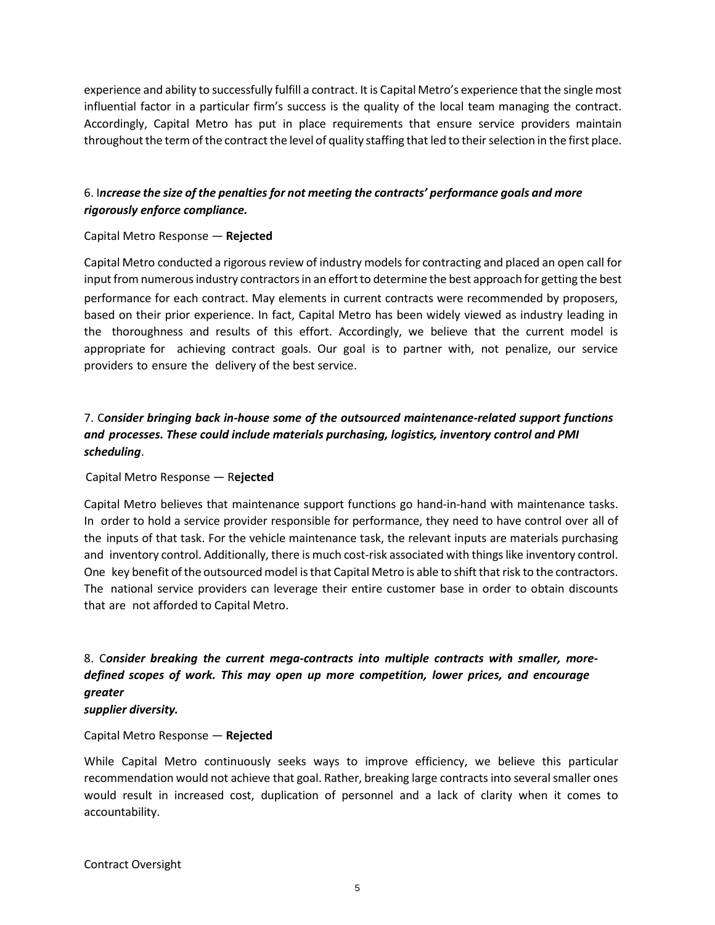experience and ability to successfully fulfill a contract. It is Capital Metro's experience that the single most influential factor in a particular firm's success is the quality of the local team managing the contract. Accordingly, Capital Metro has put in place requirements that ensure service providers maintain throughout the term of the contract the level of quality staffing that led to their selection in the first place.

## 6. I*ncrease the size of the penaltiesfor not meeting the contracts' performance goals and more rigorously enforce compliance.*

## Capital Metro Response — **Rejected**

Capital Metro conducted a rigorous review of industry models for contracting and placed an open call for input from numerous industry contractors in an effort to determine the best approach for getting the best performance for each contract. May elements in current contracts were recommended by proposers, based on their prior experience. In fact, Capital Metro has been widely viewed as industry leading in the thoroughness and results of this effort. Accordingly, we believe that the current model is appropriate for achieving contract goals. Our goal is to partner with, not penalize, our service providers to ensure the delivery of the best service.

# 7. C*onsider bringing back in-house some of the outsourced maintenance-related support functions and processes. These could include materials purchasing, logistics, inventory control and PMI scheduling*.

## Capital Metro Response — R**ejected**

Capital Metro believes that maintenance support functions go hand-in-hand with maintenance tasks. In order to hold a service provider responsible for performance, they need to have control over all of the inputs of that task. For the vehicle maintenance task, the relevant inputs are materials purchasing and inventory control. Additionally, there is much cost-risk associated with things like inventory control. One key benefit of the outsourcedmodel is that Capital Metro is able to shift that risk to the contractors. The national service providers can leverage their entire customer base in order to obtain discounts that are not afforded to Capital Metro.

# 8. C*onsider breaking the current mega-contracts into multiple contracts with smaller, moredefined scopes of work. This may open up more competition, lower prices, and encourage greater*

#### *supplier diversity.*

## Capital Metro Response — **Rejected**

While Capital Metro continuously seeks ways to improve efficiency, we believe this particular recommendation would not achieve that goal. Rather, breaking large contracts into several smaller ones would result in increased cost, duplication of personnel and a lack of clarity when it comes to accountability.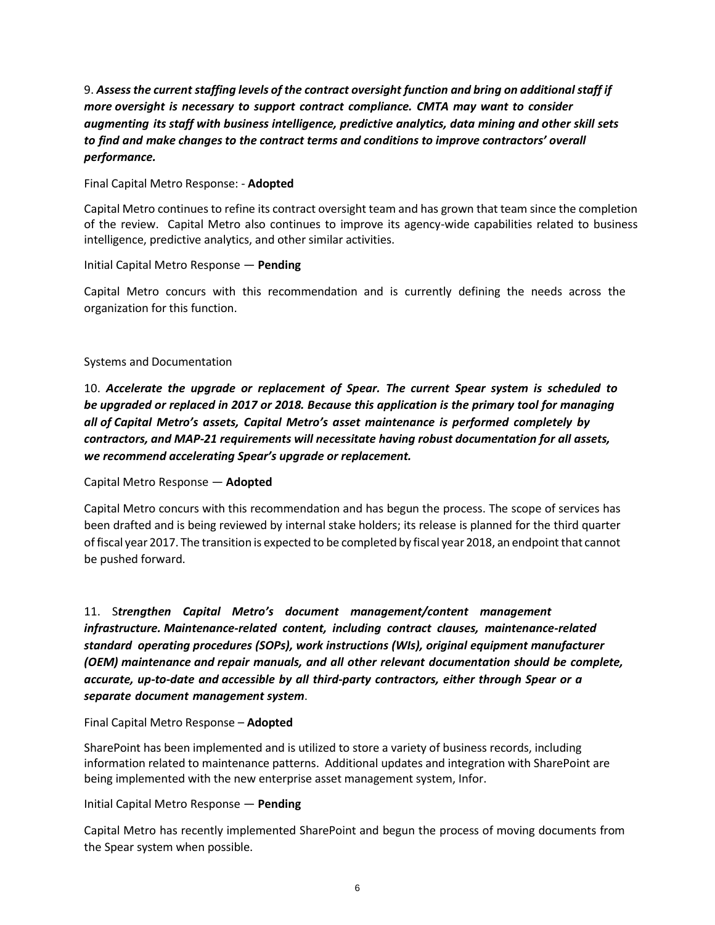9. *Assessthe current staffing levels of the contract oversight function and bring on additionalstaff if more oversight is necessary to support contract compliance. CMTA may want to consider augmenting its staff with business intelligence, predictive analytics, data mining and other skill sets to find and make changes to the contract terms and conditions to improve contractors' overall performance.*

Final Capital Metro Response: - **Adopted**

Capital Metro continues to refine its contract oversight team and has grown that team since the completion of the review. Capital Metro also continues to improve its agency-wide capabilities related to business intelligence, predictive analytics, and other similar activities.

### Initial Capital Metro Response — **Pending**

Capital Metro concurs with this recommendation and is currently defining the needs across the organization for this function.

## Systems and Documentation

10. *Accelerate the upgrade or replacement of Spear. The current Spear system is scheduled to be upgraded or replaced in 2017 or 2018. Because this application is the primary tool for managing all of Capital Metro's assets, Capital Metro's asset maintenance is performed completely by contractors, and MAP-21 requirements will necessitate having robust documentation for all assets, we recommend accelerating Spear's upgrade or replacement.*

Capital Metro Response — **Adopted**

Capital Metro concurs with this recommendation and has begun the process. The scope of services has been drafted and is being reviewed by internal stake holders; its release is planned for the third quarter of fiscal year 2017. The transition is expected to be completed by fiscal year 2018, an endpoint that cannot be pushed forward.

11. S*trengthen Capital Metro's document management/content management infrastructure. Maintenance-related content, including contract clauses, maintenance-related standard operating procedures (SOPs), work instructions (WIs), original equipment manufacturer (OEM) maintenance and repair manuals, and all other relevant documentation should be complete, accurate, up-to-date and accessible by all third-party contractors, either through Spear or a separate document management system*.

## Final Capital Metro Response – **Adopted**

SharePoint has been implemented and is utilized to store a variety of business records, including information related to maintenance patterns. Additional updates and integration with SharePoint are being implemented with the new enterprise asset management system, Infor.

Initial Capital Metro Response — **Pending**

Capital Metro has recently implemented SharePoint and begun the process of moving documents from the Spear system when possible.